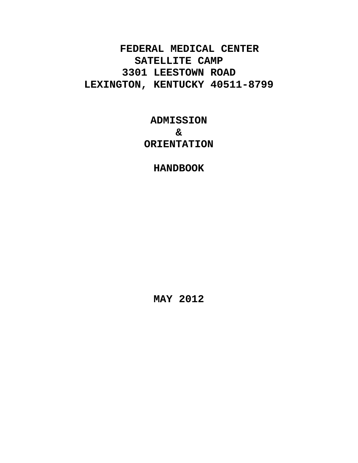**FEDERAL MEDICAL CENTER SATELLITE CAMP 3301 LEESTOWN ROAD LEXINGTON, KENTUCKY 40511-8799**

> **ADMISSION & ORIENTATION**

> > **HANDBOOK**

**MAY 2012**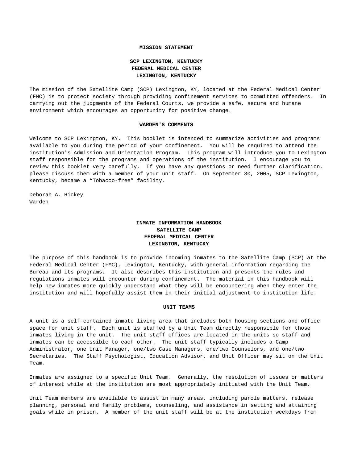#### **MISSION STATEMENT**

# **SCP LEXINGTON, KENTUCKY FEDERAL MEDICAL CENTER LEXINGTON, KENTUCKY**

The mission of the Satellite Camp (SCP) Lexington, KY, located at the Federal Medical Center (FMC) is to protect society through providing confinement services to committed offenders. In carrying out the judgments of the Federal Courts, we provide a safe, secure and humane environment which encourages an opportunity for positive change.

#### **WARDEN'S COMMENTS**

Welcome to SCP Lexington, KY. This booklet is intended to summarize activities and programs available to you during the period of your confinement. You will be required to attend the institution's Admission and Orientation Program. This program will introduce you to Lexington staff responsible for the programs and operations of the institution. I encourage you to review this booklet very carefully. If you have any questions or need further clarification, please discuss them with a member of your unit staff. On September 30, 2005, SCP Lexington, Kentucky, became a "Tobacco-free" facility.

Deborah A. Hickey Warden

# **INMATE INFORMATION HANDBOOK SATELLITE CAMP FEDERAL MEDICAL CENTER LEXINGTON, KENTUCKY**

The purpose of this handbook is to provide incoming inmates to the Satellite Camp (SCP) at the Federal Medical Center (FMC), Lexington, Kentucky, with general information regarding the Bureau and its programs. It also describes this institution and presents the rules and regulations inmates will encounter during confinement. The material in this handbook will help new inmates more quickly understand what they will be encountering when they enter the institution and will hopefully assist them in their initial adjustment to institution life.

#### **UNIT TEAMS**

A unit is a self-contained inmate living area that includes both housing sections and office space for unit staff. Each unit is staffed by a Unit Team directly responsible for those inmates living in the unit. The unit staff offices are located in the units so staff and inmates can be accessible to each other. The unit staff typically includes a Camp Administrator, one Unit Manager, one/two Case Managers, one/two Counselors, and one/two Secretaries. The Staff Psychologist, Education Advisor, and Unit Officer may sit on the Unit Team.

Inmates are assigned to a specific Unit Team. Generally, the resolution of issues or matters of interest while at the institution are most appropriately initiated with the Unit Team.

Unit Team members are available to assist in many areas, including parole matters, release planning, personal and family problems, counseling, and assistance in setting and attaining goals while in prison. A member of the unit staff will be at the institution weekdays from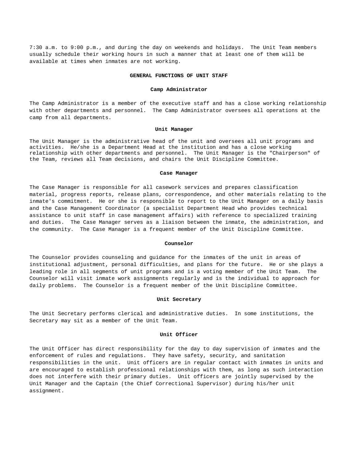7:30 a.m. to 9:00 p.m., and during the day on weekends and holidays. The Unit Team members usually schedule their working hours in such a manner that at least one of them will be available at times when inmates are not working.

#### **GENERAL FUNCTIONS OF UNIT STAFF**

#### **Camp Administrator**

The Camp Administrator is a member of the executive staff and has a close working relationship with other departments and personnel. The Camp Administrator oversees all operations at the camp from all departments.

#### **Unit Manager**

The Unit Manager is the administrative head of the unit and oversees all unit programs and activities. He/she is a Department Head at the institution and has a close working relationship with other departments and personnel. The Unit Manager is the "Chairperson" of the Team, reviews all Team decisions, and chairs the Unit Discipline Committee.

## **Case Manager**

The Case Manager is responsible for all casework services and prepares classification material, progress reports, release plans, correspondence, and other materials relating to the inmate's commitment. He or she is responsible to report to the Unit Manager on a daily basis and the Case Management Coordinator (a specialist Department Head who provides technical assistance to unit staff in case management affairs) with reference to specialized training and duties. The Case Manager serves as a liaison between the inmate, the administration, and the community. The Case Manager is a frequent member of the Unit Discipline Committee.

#### **Counselor**

The Counselor provides counseling and guidance for the inmates of the unit in areas of institutional adjustment, personal difficulties, and plans for the future. He or she plays a leading role in all segments of unit programs and is a voting member of the Unit Team. The Counselor will visit inmate work assignments regularly and is the individual to approach for daily problems. The Counselor is a frequent member of the Unit Discipline Committee.

## **Unit Secretary**

The Unit Secretary performs clerical and administrative duties. In some institutions, the Secretary may sit as a member of the Unit Team.

#### **Unit Officer**

The Unit Officer has direct responsibility for the day to day supervision of inmates and the enforcement of rules and regulations. They have safety, security, and sanitation responsibilities in the unit. Unit officers are in regular contact with inmates in units and are encouraged to establish professional relationships with them, as long as such interaction does not interfere with their primary duties. Unit officers are jointly supervised by the Unit Manager and the Captain (the Chief Correctional Supervisor) during his/her unit assignment.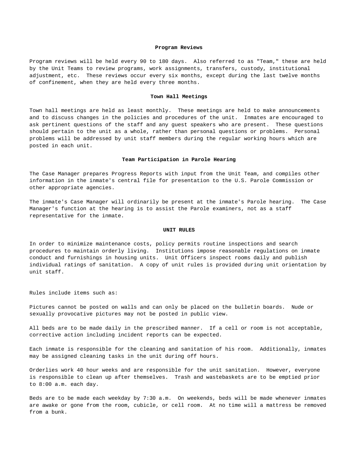#### **Program Reviews**

Program reviews will be held every 90 to 180 days. Also referred to as "Team," these are held by the Unit Teams to review programs, work assignments, transfers, custody, institutional adjustment, etc. These reviews occur every six months, except during the last twelve months of confinement, when they are held every three months.

#### **Town Hall Meetings**

Town hall meetings are held as least monthly. These meetings are held to make announcements and to discuss changes in the policies and procedures of the unit. Inmates are encouraged to ask pertinent questions of the staff and any guest speakers who are present. These questions should pertain to the unit as a whole, rather than personal questions or problems. Personal problems will be addressed by unit staff members during the regular working hours which are posted in each unit.

## **Team Participation in Parole Hearing**

The Case Manager prepares Progress Reports with input from the Unit Team, and compiles other information in the inmate's central file for presentation to the U.S. Parole Commission or other appropriate agencies.

The inmate's Case Manager will ordinarily be present at the inmate's Parole hearing. The Case Manager's function at the hearing is to assist the Parole examiners, not as a staff representative for the inmate.

#### **UNIT RULES**

In order to minimize maintenance costs, policy permits routine inspections and search procedures to maintain orderly living. Institutions impose reasonable regulations on inmate conduct and furnishings in housing units. Unit Officers inspect rooms daily and publish individual ratings of sanitation. A copy of unit rules is provided during unit orientation by unit staff.

Rules include items such as:

Pictures cannot be posted on walls and can only be placed on the bulletin boards. Nude or sexually provocative pictures may not be posted in public view.

All beds are to be made daily in the prescribed manner. If a cell or room is not acceptable, corrective action including incident reports can be expected.

Each inmate is responsible for the cleaning and sanitation of his room. Additionally, inmates may be assigned cleaning tasks in the unit during off hours.

Orderlies work 40 hour weeks and are responsible for the unit sanitation. However, everyone is responsible to clean up after themselves. Trash and wastebaskets are to be emptied prior to 8:00 a.m. each day.

Beds are to be made each weekday by 7:30 a.m. On weekends, beds will be made whenever inmates are awake or gone from the room, cubicle, or cell room. At no time will a mattress be removed from a bunk.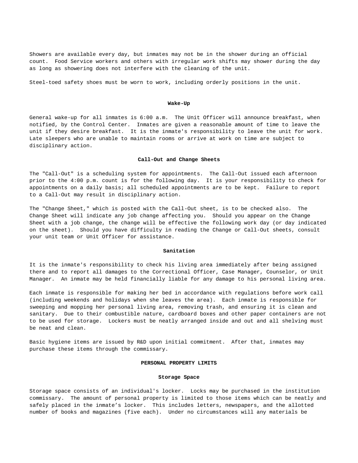Showers are available every day, but inmates may not be in the shower during an official count. Food Service workers and others with irregular work shifts may shower during the day as long as showering does not interfere with the cleaning of the unit.

Steel-toed safety shoes must be worn to work, including orderly positions in the unit.

## **Wake-Up**

General wake-up for all inmates is 6:00 a.m. The Unit Officer will announce breakfast, when notified, by the Control Center. Inmates are given a reasonable amount of time to leave the unit if they desire breakfast. It is the inmate's responsibility to leave the unit for work. Late sleepers who are unable to maintain rooms or arrive at work on time are subject to disciplinary action.

## **Call-Out and Change Sheets**

The "Call-Out" is a scheduling system for appointments. The Call-Out issued each afternoon prior to the 4:00 p.m. count is for the following day. It is your responsibility to check for appointments on a daily basis; all scheduled appointments are to be kept. Failure to report to a Call-Out may result in disciplinary action.

The "Change Sheet," which is posted with the Call-Out sheet, is to be checked also. The Change Sheet will indicate any job change affecting you. Should you appear on the Change Sheet with a job change, the change will be effective the following work day (or day indicated on the sheet). Should you have difficulty in reading the Change or Call-Out sheets, consult your unit team or Unit Officer for assistance.

#### **Sanitation**

It is the inmate's responsibility to check his living area immediately after being assigned there and to report all damages to the Correctional Officer, Case Manager, Counselor, or Unit Manager. An inmate may be held financially liable for any damage to his personal living area.

Each inmate is responsible for making her bed in accordance with regulations before work call (including weekends and holidays when she leaves the area). Each inmate is responsible for sweeping and mopping her personal living area, removing trash, and ensuring it is clean and sanitary. Due to their combustible nature, cardboard boxes and other paper containers are not to be used for storage. Lockers must be neatly arranged inside and out and all shelving must be neat and clean.

Basic hygiene items are issued by R&D upon initial commitment. After that, inmates may purchase these items through the commissary.

## **PERSONAL PROPERTY LIMITS**

#### **Storage Space**

Storage space consists of an individual's locker. Locks may be purchased in the institution commissary. The amount of personal property is limited to those items which can be neatly and safely placed in the inmate's locker. This includes letters, newspapers, and the allotted number of books and magazines (five each). Under no circumstances will any materials be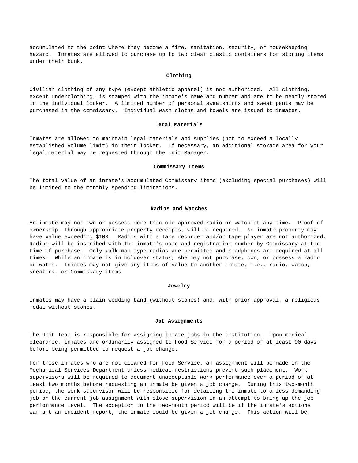accumulated to the point where they become a fire, sanitation, security, or housekeeping hazard. Inmates are allowed to purchase up to two clear plastic containers for storing items under their bunk.

## **Clothing**

Civilian clothing of any type (except athletic apparel) is not authorized. All clothing, except underclothing, is stamped with the inmate's name and number and are to be neatly stored in the individual locker. A limited number of personal sweatshirts and sweat pants may be purchased in the commissary. Individual wash cloths and towels are issued to inmates.

## **Legal Materials**

Inmates are allowed to maintain legal materials and supplies (not to exceed a locally established volume limit) in their locker. If necessary, an additional storage area for your legal material may be requested through the Unit Manager.

#### **Commissary Items**

The total value of an inmate's accumulated Commissary items (excluding special purchases) will be limited to the monthly spending limitations.

# **Radios and Watches**

An inmate may not own or possess more than one approved radio or watch at any time. Proof of ownership, through appropriate property receipts, will be required. No inmate property may have value exceeding \$100. Radios with a tape recorder and/or tape player are not authorized. Radios will be inscribed with the inmate's name and registration number by Commissary at the time of purchase. Only walk-man type radios are permitted and headphones are required at all times. While an inmate is in holdover status, she may not purchase, own, or possess a radio or watch. Inmates may not give any items of value to another inmate, i.e., radio, watch, sneakers, or Commissary items.

## **Jewelry**

Inmates may have a plain wedding band (without stones) and, with prior approval, a religious medal without stones.

## **Job Assignments**

The Unit Team is responsible for assigning inmate jobs in the institution. Upon medical clearance, inmates are ordinarily assigned to Food Service for a period of at least 90 days before being permitted to request a job change.

For those inmates who are not cleared for Food Service, an assignment will be made in the Mechanical Services Department unless medical restrictions prevent such placement. Work supervisors will be required to document unacceptable work performance over a period of at least two months before requesting an inmate be given a job change. During this two-month period, the work supervisor will be responsible for detailing the inmate to a less demanding job on the current job assignment with close supervision in an attempt to bring up the job performance level. The exception to the two-month period will be if the inmate's actions warrant an incident report, the inmate could be given a job change. This action will be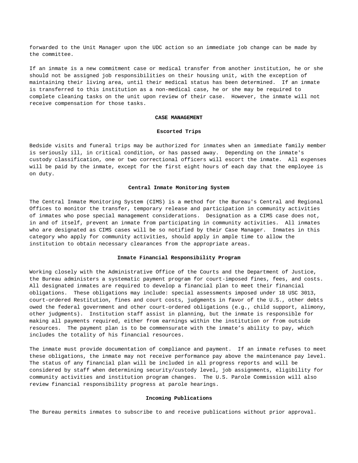forwarded to the Unit Manager upon the UDC action so an immediate job change can be made by the committee.

If an inmate is a new commitment case or medical transfer from another institution, he or she should not be assigned job responsibilities on their housing unit, with the exception of maintaining their living area, until their medical status has been determined. If an inmate is transferred to this institution as a non-medical case, he or she may be required to complete cleaning tasks on the unit upon review of their case. However, the inmate will not receive compensation for those tasks.

#### **CASE MANAGEMENT**

#### **Escorted Trips**

Bedside visits and funeral trips may be authorized for inmates when an immediate family member is seriously ill, in critical condition, or has passed away. Depending on the inmate's custody classification, one or two correctional officers will escort the inmate. All expenses will be paid by the inmate, except for the first eight hours of each day that the employee is on duty.

#### **Central Inmate Monitoring System**

The Central Inmate Monitoring System (CIMS) is a method for the Bureau's Central and Regional Offices to monitor the transfer, temporary release and participation in community activities of inmates who pose special management considerations. Designation as a CIMS case does not, in and of itself, prevent an inmate from participating in community activities. All inmates who are designated as CIMS cases will be so notified by their Case Manager. Inmates in this category who apply for community activities, should apply in ample time to allow the institution to obtain necessary clearances from the appropriate areas.

## **Inmate Financial Responsibility Program**

Working closely with the Administrative Office of the Courts and the Department of Justice, the Bureau administers a systematic payment program for court-imposed fines, fees, and costs. All designated inmates are required to develop a financial plan to meet their financial obligations. These obligations may include: special assessments imposed under 18 USC 3013, court-ordered Restitution, fines and court costs, judgments in favor of the U.S., other debts owed the federal government and other court-ordered obligations (e.g., child support, alimony, other judgments). Institution staff assist in planning, but the inmate is responsible for making all payments required, either from earnings within the institution or from outside resources. The payment plan is to be commensurate with the inmate's ability to pay, which includes the totality of his financial resources.

The inmate must provide documentation of compliance and payment. If an inmate refuses to meet these obligations, the inmate may not receive performance pay above the maintenance pay level. The status of any financial plan will be included in all progress reports and will be considered by staff when determining security/custody level, job assignments, eligibility for community activities and institution program changes. The U.S. Parole Commission will also review financial responsibility progress at parole hearings.

## **Incoming Publications**

The Bureau permits inmates to subscribe to and receive publications without prior approval.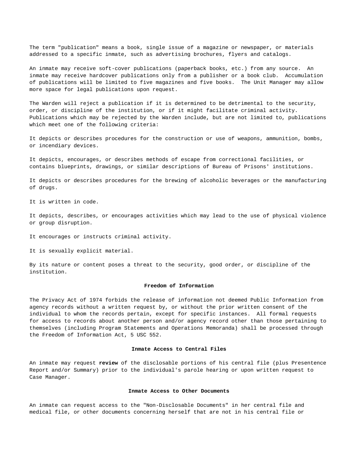The term "publication" means a book, single issue of a magazine or newspaper, or materials addressed to a specific inmate, such as advertising brochures, flyers and catalogs.

An inmate may receive soft-cover publications (paperback books, etc.) from any source. An inmate may receive hardcover publications only from a publisher or a book club. Accumulation of publications will be limited to five magazines and five books. The Unit Manager may allow more space for legal publications upon request.

The Warden will reject a publication if it is determined to be detrimental to the security, order, or discipline of the institution, or if it might facilitate criminal activity. Publications which may be rejected by the Warden include, but are not limited to, publications which meet one of the following criteria:

It depicts or describes procedures for the construction or use of weapons, ammunition, bombs, or incendiary devices.

It depicts, encourages, or describes methods of escape from correctional facilities, or contains blueprints, drawings, or similar descriptions of Bureau of Prisons' institutions.

It depicts or describes procedures for the brewing of alcoholic beverages or the manufacturing of drugs.

It is written in code.

It depicts, describes, or encourages activities which may lead to the use of physical violence or group disruption.

It encourages or instructs criminal activity.

It is sexually explicit material.

By its nature or content poses a threat to the security, good order, or discipline of the institution.

## **Freedom of Information**

The Privacy Act of 1974 forbids the release of information not deemed Public Information from agency records without a written request by, or without the prior written consent of the individual to whom the records pertain, except for specific instances. All formal requests for access to records about another person and/or agency record other than those pertaining to themselves (including Program Statements and Operations Memoranda) shall be processed through the Freedom of Information Act, 5 USC 552.

## **Inmate Access to Central Files**

An inmate may request **review** of the disclosable portions of his central file (plus Presentence Report and/or Summary) prior to the individual's parole hearing or upon written request to Case Manager.

## **Inmate Access to Other Documents**

An inmate can request access to the "Non-Disclosable Documents" in her central file and medical file, or other documents concerning herself that are not in his central file or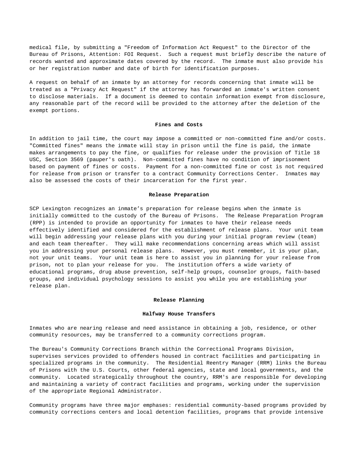medical file, by submitting a "Freedom of Information Act Request" to the Director of the Bureau of Prisons, Attention: FOI Request. Such a request must briefly describe the nature of records wanted and approximate dates covered by the record. The inmate must also provide his or her registration number and date of birth for identification purposes.

A request on behalf of an inmate by an attorney for records concerning that inmate will be treated as a "Privacy Act Request" if the attorney has forwarded an inmate's written consent to disclose materials. If a document is deemed to contain information exempt from disclosure, any reasonable part of the record will be provided to the attorney after the deletion of the exempt portions.

## **Fines and Costs**

In addition to jail time, the court may impose a committed or non-committed fine and/or costs. "Committed fines" means the inmate will stay in prison until the fine is paid, the inmate makes arrangements to pay the fine, or qualifies for release under the provision of Title 18 USC, Section 3569 (pauper's oath). Non-committed fines have no condition of imprisonment based on payment of fines or costs. Payment for a non-committed fine or cost is not required for release from prison or transfer to a contract Community Corrections Center. Inmates may also be assessed the costs of their incarceration for the first year.

#### **Release Preparation**

SCP Lexington recognizes an inmate's preparation for release begins when the inmate is initially committed to the custody of the Bureau of Prisons. The Release Preparation Program (RPP) is intended to provide an opportunity for inmates to have their release needs effectively identified and considered for the establishment of release plans. Your unit team will begin addressing your release plans with you during your initial program review (team) and each team thereafter. They will make recommendations concerning areas which will assist you in addressing your personal release plans. However, you must remember, it is your plan, not your unit teams. Your unit team is here to assist you in planning for your release from prison, not to plan your release for you. The institution offers a wide variety of educational programs, drug abuse prevention, self-help groups, counselor groups, faith-based groups, and individual psychology sessions to assist you while you are establishing your release plan.

#### **Release Planning**

## **Halfway House Transfers**

Inmates who are nearing release and need assistance in obtaining a job, residence, or other community resources, may be transferred to a community corrections program.

The Bureau's Community Corrections Branch within the Correctional Programs Division, supervises services provided to offenders housed in contract facilities and participating in specialized programs in the community. The Residential Reentry Manager (RRM) links the Bureau of Prisons with the U.S. Courts, other federal agencies, state and local governments, and the community. Located strategically throughout the country, RRM's are responsible for developing and maintaining a variety of contract facilities and programs, working under the supervision of the appropriate Regional Administrator.

Community programs have three major emphases: residential community-based programs provided by community corrections centers and local detention facilities, programs that provide intensive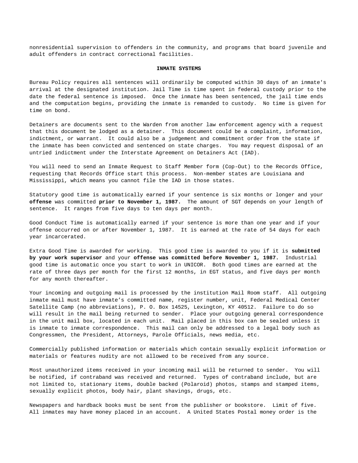nonresidential supervision to offenders in the community, and programs that board juvenile and adult offenders in contract correctional facilities.

## **INMATE SYSTEMS**

Bureau Policy requires all sentences will ordinarily be computed within 30 days of an inmate's arrival at the designated institution. Jail Time is time spent in federal custody prior to the date the federal sentence is imposed. Once the inmate has been sentenced, the jail time ends and the computation begins, providing the inmate is remanded to custody. No time is given for time on bond.

Detainers are documents sent to the Warden from another law enforcement agency with a request that this document be lodged as a detainer. This document could be a complaint, information, indictment, or warrant. It could also be a judgement and commitment order from the state if the inmate has been convicted and sentenced on state charges. You may request disposal of an untried indictment under the Interstate Agreement on Detainers Act (IAD).

You will need to send an Inmate Request to Staff Member form (Cop-Out) to the Records Office, requesting that Records Office start this process. Non-member states are Louisiana and Mississippi, which means you cannot file the IAD in those states.

Statutory good time is automatically earned if your sentence is six months or longer and your **offense** was committed **prior to November 1, 1987.** The amount of SGT depends on your length of sentence. It ranges from five days to ten days per month.

Good Conduct Time is automatically earned if your sentence is more than one year and if your offense occurred on or after November 1, 1987. It is earned at the rate of 54 days for each year incarcerated.

Extra Good Time is awarded for working. This good time is awarded to you if it is **submitted by your work supervisor** and your **offense was committed before November 1, 1987.** Industrial good time is automatic once you start to work in UNICOR. Both good times are earned at the rate of three days per month for the first 12 months, in EGT status, and five days per month for any month thereafter.

Your incoming and outgoing mail is processed by the institution Mail Room staff. All outgoing inmate mail must have inmate's committed name, register number, unit, Federal Medical Center Satellite Camp (no abbreviations), P. O. Box 14525, Lexington, KY 40512. Failure to do so will result in the mail being returned to sender. Place your outgoing general correspondence in the unit mail box, located in each unit. Mail placed in this box can be sealed unless it is inmate to inmate correspondence. This mail can only be addressed to a legal body such as Congressmen, the President, Attorneys, Parole Officials, news media, etc.

Commercially published information or materials which contain sexually explicit information or materials or features nudity are not allowed to be received from any source.

Most unauthorized items received in your incoming mail will be returned to sender. You will be notified, if contraband was received and returned. Types of contraband include, but are not limited to, stationary items, double backed (Polaroid) photos, stamps and stamped items, sexually explicit photos, body hair, plant shavings, drugs, etc.

Newspapers and hardback books must be sent from the publisher or bookstore. Limit of five. All inmates may have money placed in an account. A United States Postal money order is the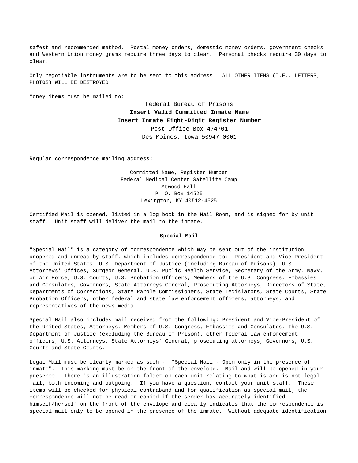safest and recommended method. Postal money orders, domestic money orders, government checks and Western Union money grams require three days to clear. Personal checks require 30 days to clear.

Only negotiable instruments are to be sent to this address. ALL OTHER ITEMS (I.E., LETTERS, PHOTOS) WILL BE DESTROYED.

Money items must be mailed to:

Federal Bureau of Prisons **Insert Valid Committed Inmate Name Insert Inmate Eight-Digit Register Number** Post Office Box 474701 Des Moines, Iowa 50947-0001

Regular correspondence mailing address:

Committed Name, Register Number Federal Medical Center Satellite Camp Atwood Hall P. O. Box 14525 Lexington, KY 40512-4525

Certified Mail is opened, listed in a log book in the Mail Room, and is signed for by unit staff. Unit staff will deliver the mail to the inmate.

## **Special Mail**

"Special Mail" is a category of correspondence which may be sent out of the institution unopened and unread by staff, which includes correspondence to: President and Vice President of the United States, U.S. Department of Justice (including Bureau of Prisons), U.S. Attorneys' Offices, Surgeon General, U.S. Public Health Service, Secretary of the Army, Navy, or Air Force, U.S. Courts, U.S. Probation Officers, Members of the U.S. Congress, Embassies and Consulates, Governors, State Attorneys General, Prosecuting Attorneys, Directors of State, Departments of Corrections, State Parole Commissioners, State Legislators, State Courts, State Probation Officers, other federal and state law enforcement officers, attorneys, and representatives of the news media.

Special Mail also includes mail received from the following: President and Vice-President of the United States, Attorneys, Members of U.S. Congress, Embassies and Consulates, the U.S. Department of Justice (excluding the Bureau of Prison), other federal law enforcement officers, U.S. Attorneys, State Attorneys' General, prosecuting attorneys, Governors, U.S. Courts and State Courts.

Legal Mail must be clearly marked as such - "Special Mail - Open only in the presence of inmate". This marking must be on the front of the envelope. Mail and will be opened in your presence. There is an illustration folder on each unit relating to what is and is not legal mail, both incoming and outgoing. If you have a question, contact your unit staff. These items will be checked for physical contraband and for qualification as special mail; the correspondence will not be read or copied if the sender has accurately identified himself/herself on the front of the envelope and clearly indicates that the correspondence is special mail only to be opened in the presence of the inmate. Without adequate identification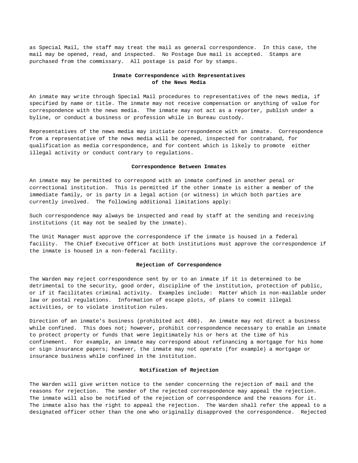as Special Mail, the staff may treat the mail as general correspondence. In this case, the mail may be opened, read, and inspected. No Postage Due mail is accepted. Stamps are purchased from the commissary. All postage is paid for by stamps.

# **Inmate Correspondence with Representatives of the News Media**

An inmate may write through Special Mail procedures to representatives of the news media, if specified by name or title. The inmate may not receive compensation or anything of value for correspondence with the news media. The inmate may not act as a reporter, publish under a byline, or conduct a business or profession while in Bureau custody.

Representatives of the news media may initiate correspondence with an inmate. Correspondence from a representative of the news media will be opened, inspected for contraband, for qualification as media correspondence, and for content which is likely to promote either illegal activity or conduct contrary to regulations.

## **Correspondence Between Inmates**

An inmate may be permitted to correspond with an inmate confined in another penal or correctional institution. This is permitted if the other inmate is either a member of the immediate family, or is party in a legal action (or witness) in which both parties are currently involved. The following additional limitations apply:

Such correspondence may always be inspected and read by staff at the sending and receiving institutions (it may not be sealed by the inmate).

The Unit Manager must approve the correspondence if the inmate is housed in a federal facility. The Chief Executive Officer at both institutions must approve the correspondence if the inmate is housed in a non-federal facility.

## **Rejection of Correspondence**

The Warden may reject correspondence sent by or to an inmate if it is determined to be detrimental to the security, good order, discipline of the institution, protection of public, or if it facilitates criminal activity. Examples include: Matter which is non-mailable under law or postal regulations. Information of escape plots, of plans to commit illegal activities, or to violate institution rules.

Direction of an inmate's business (prohibited act 408). An inmate may not direct a business while confined. This does not; however, prohibit correspondence necessary to enable an inmate to protect property or funds that were legitimately his or hers at the time of his confinement. For example, an inmate may correspond about refinancing a mortgage for his home or sign insurance papers; however, the inmate may not operate (for example) a mortgage or insurance business while confined in the institution.

## **Notification of Rejection**

The Warden will give written notice to the sender concerning the rejection of mail and the reasons for rejection. The sender of the rejected correspondence may appeal the rejection. The inmate will also be notified of the rejection of correspondence and the reasons for it. The inmate also has the right to appeal the rejection. The Warden shall refer the appeal to a designated officer other than the one who originally disapproved the correspondence. Rejected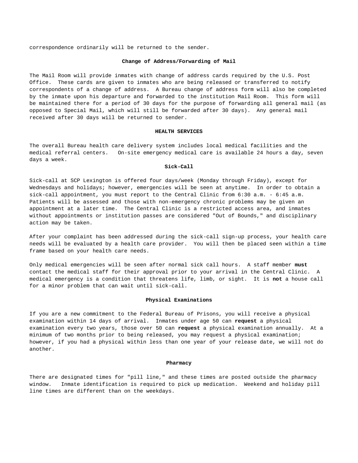correspondence ordinarily will be returned to the sender.

## **Change of Address/Forwarding of Mail**

The Mail Room will provide inmates with change of address cards required by the U.S. Post Office. These cards are given to inmates who are being released or transferred to notify correspondents of a change of address. A Bureau change of address form will also be completed by the inmate upon his departure and forwarded to the institution Mail Room. This form will be maintained there for a period of 30 days for the purpose of forwarding all general mail (as opposed to Special Mail, which will still be forwarded after 30 days). Any general mail received after 30 days will be returned to sender.

#### **HEALTH SERVICES**

The overall Bureau health care delivery system includes local medical facilities and the medical referral centers. On-site emergency medical care is available 24 hours a day, seven days a week.

#### **Sick-Call**

Sick-call at SCP Lexington is offered four days/week (Monday through Friday), except for Wednesdays and holidays; however, emergencies will be seen at anytime. In order to obtain a sick-call appointment, you must report to the Central Clinic from 6:30 a.m. - 6:45 a.m. Patients will be assessed and those with non-emergency chronic problems may be given an appointment at a later time. The Central Clinic is a restricted access area, and inmates without appointments or institution passes are considered "Out of Bounds," and disciplinary action may be taken.

After your complaint has been addressed during the sick-call sign-up process, your health care needs will be evaluated by a health care provider. You will then be placed seen within a time frame based on your health care needs.

Only medical emergencies will be seen after normal sick call hours. A staff member **must** contact the medical staff for their approval prior to your arrival in the Central Clinic. A medical emergency is a condition that threatens life, limb, or sight. It is **not** a house call for a minor problem that can wait until sick-call.

## **Physical Examinations**

If you are a new commitment to the Federal Bureau of Prisons, you will receive a physical examination within 14 days of arrival. Inmates under age 50 can **request** a physical examination every two years, those over 50 can **request** a physical examination annually. At a minimum of two months prior to being released, you may request a physical examination; however, if you had a physical within less than one year of your release date, we will not do another.

## **Pharmacy**

There are designated times for "pill line," and these times are posted outside the pharmacy window. Inmate identification is required to pick up medication. Weekend and holiday pill line times are different than on the weekdays.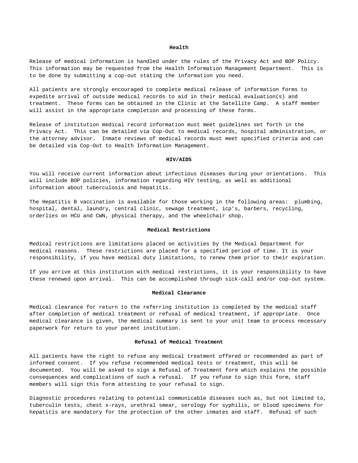#### **Health**

Release of medical information is handled under the rules of the Privacy Act and BOP Policy. This information may be requested from the Health Information Management Department. This is to be done by submitting a cop-out stating the information you need.

All patients are strongly encouraged to complete medical release of information forms to expedite arrival of outside medical records to aid in their medical evaluation(s) and treatment. These forms can be obtained in the Clinic at the Satellite Camp. A staff member will assist in the appropriate completion and processing of these forms.

Release of institution medical record information must meet guidelines set forth in the Privacy Act. This can be detailed via Cop-Out to medical records, hospital administration, or the attorney advisor. Inmate reviews of medical records must meet specified criteria and can be detailed via Cop-Out to Health Information Management.

## **HIV/AIDS**

You will receive current information about infectious diseases during your orientations. This will include BOP policies, information regarding HIV testing, as well as additional information about tuberculosis and hepatitis.

The Hepatitis B vaccination is available for those working in the following areas: plumbing, hospital, dental, laundry, central clinic, sewage treatment, icp's, barbers, recycling, orderlies on HCU and CWN, physical therapy, and the wheelchair shop.

#### **Medical Restrictions**

Medical restrictions are limitations placed on activities by the Medical Department for medical reasons. These restrictions are placed for a specified period of time. It is your responsibility, if you have medical duty limitations, to renew them prior to their expiration.

If you arrive at this institution with medical restrictions, it is your responsibility to have these renewed upon arrival. This can be accomplished through sick-call and/or cop-out system.

## **Medical Clearance**

Medical clearance for return to the referring institution is completed by the medical staff after completion of medical treatment or refusal of medical treatment, if appropriate. Once medical clearance is given, the medical summary is sent to your unit team to process necessary paperwork for return to your parent institution.

#### **Refusal of Medical Treatment**

All patients have the right to refuse any medical treatment offered or recommended as part of informed consent. If you refuse recommended medical tests or treatment, this will be documented. You will be asked to sign a Refusal of Treatment form which explains the possible consequences and complications of such a refusal. If you refuse to sign this form, staff members will sign this form attesting to your refusal to sign.

Diagnostic procedures relating to potential communicable diseases such as, but not limited to, tuberculin tests, chest x-rays, urethral smear, serology for syphilis, or blood specimens for hepatitis are mandatory for the protection of the other inmates and staff. Refusal of such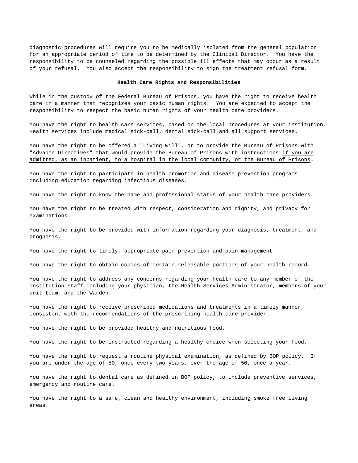diagnostic procedures will require you to be medically isolated from the general population for an appropriate period of time to be determined by the Clinical Director. You have the responsibility to be counseled regarding the possible ill effects that may occur as a result of your refusal. You also accept the responsibility to sign the treatment refusal form.

#### **Health Care Rights and Responsibilities**

While in the custody of the Federal Bureau of Prisons, you have the right to receive health care in a manner that recognizes your basic human rights. You are expected to accept the responsibility to respect the basic human rights of your health care providers.

You have the right to health care services, based on the local procedures at your institution. Health services include medical sick-call, dental sick-call and all support services.

You have the right to be offered a "Living Will", or to provide the Bureau of Prisons with "Advance Directives" that would provide the Bureau of Prisons with instructions if you are admitted, as an inpatient, to a hospital in the local community, or the Bureau of Prisons.

You have the right to participate in health promotion and disease prevention programs including education regarding infectious diseases.

You have the right to know the name and professional status of your health care providers.

You have the right to be treated with respect, consideration and dignity, and privacy for examinations.

You have the right to be provided with information regarding your diagnosis, treatment, and prognosis.

You have the right to timely, appropriate pain prevention and pain management.

You have the right to obtain copies of certain releasable portions of your health record.

You have the right to address any concerns regarding your health care to any member of the institution staff including your physician, the Health Services Administrator, members of your unit team, and the Warden.

You have the right to receive prescribed medications and treatments in a timely manner, consistent with the recommendations of the prescribing health care provider.

You have the right to be provided healthy and nutritious food.

You have the right to be instructed regarding a healthy choice when selecting your food.

You have the right to request a routine physical examination, as defined by BOP policy. If you are under the age of 50, once every two years, over the age of 50, once a year.

You have the right to dental care as defined in BOP policy, to include preventive services, emergency and routine care.

You have the right to a safe, clean and healthy environment, including smoke free living areas.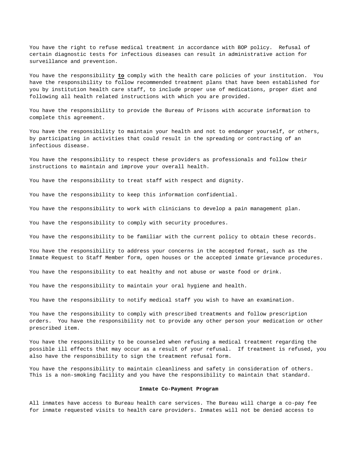You have the right to refuse medical treatment in accordance with BOP policy. Refusal of certain diagnostic tests for infectious diseases can result in administrative action for surveillance and prevention.

You have the responsibility **to** comply with the health care policies of your institution. You have the responsibility to follow recommended treatment plans that have been established for you by institution health care staff, to include proper use of medications, proper diet and following all health related instructions with which you are provided.

You have the responsibility to provide the Bureau of Prisons with accurate information to complete this agreement.

You have the responsibility to maintain your health and not to endanger yourself, or others, by participating in activities that could result in the spreading or contracting of an infectious disease.

You have the responsibility to respect these providers as professionals and follow their instructions to maintain and improve your overall health.

You have the responsibility to treat staff with respect and dignity.

You have the responsibility to keep this information confidential.

You have the responsibility to work with clinicians to develop a pain management plan.

You have the responsibility to comply with security procedures.

You have the responsibility to be familiar with the current policy to obtain these records.

You have the responsibility to address your concerns in the accepted format, such as the Inmate Request to Staff Member form, open houses or the accepted inmate grievance procedures.

You have the responsibility to eat healthy and not abuse or waste food or drink.

You have the responsibility to maintain your oral hygiene and health.

You have the responsibility to notify medical staff you wish to have an examination.

You have the responsibility to comply with prescribed treatments and follow prescription orders. You have the responsibility not to provide any other person your medication or other prescribed item.

You have the responsibility to be counseled when refusing a medical treatment regarding the possible ill effects that may occur as a result of your refusal. If treatment is refused, you also have the responsibility to sign the treatment refusal form.

You have the responsibility to maintain cleanliness and safety in consideration of others. This is a non-smoking facility and you have the responsibility to maintain that standard.

#### **Inmate Co-Payment Program**

All inmates have access to Bureau health care services. The Bureau will charge a co-pay fee for inmate requested visits to health care providers. Inmates will not be denied access to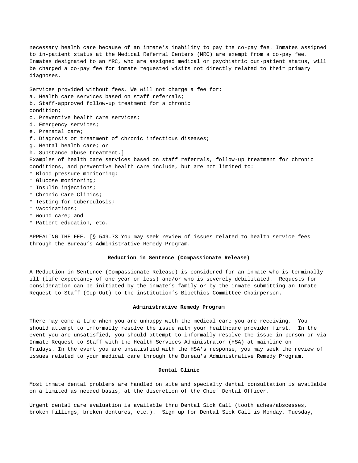necessary health care because of an inmate's inability to pay the co-pay fee. Inmates assigned to in-patient status at the Medical Referral Centers (MRC) are exempt from a co-pay fee. Inmates designated to an MRC, who are assigned medical or psychiatric out-patient status, will be charged a co-pay fee for inmate requested visits not directly related to their primary diagnoses.

Services provided without fees. We will not charge a fee for:

- a. Health care services based on staff referrals;
- b. Staff-approved follow-up treatment for a chronic
- condition;
- c. Preventive health care services;
- d. Emergency services;
- e. Prenatal care;
- f. Diagnosis or treatment of chronic infectious diseases;
- g. Mental health care; or
- h. Substance abuse treatment.]

Examples of health care services based on staff referrals, follow-up treatment for chronic conditions, and preventive health care include, but are not limited to:

- \* Blood pressure monitoring;
- \* Glucose monitoring;
- \* Insulin injections;
- \* Chronic Care Clinics;
- \* Testing for tuberculosis;
- \* Vaccinations;
- \* Wound care; and
- \* Patient education, etc.

APPEALING THE FEE. [§ 549.73 You may seek review of issues related to health service fees through the Bureau's Administrative Remedy Program.

## **Reduction in Sentence (Compassionate Release)**

A Reduction in Sentence (Compassionate Release) is considered for an inmate who is terminally ill (life expectancy of one year or less) and/or who is severely debilitated. Requests for consideration can be initiated by the inmate's family or by the inmate submitting an Inmate Request to Staff (Cop-Out) to the institution's Bioethics Committee Chairperson.

## **Administrative Remedy Program**

There may come a time when you are unhappy with the medical care you are receiving. You should attempt to informally resolve the issue with your healthcare provider first. In the event you are unsatisfied, you should attempt to informally resolve the issue in person or via Inmate Request to Staff with the Health Services Administrator (HSA) at mainline on Fridays. In the event you are unsatisfied with the HSA's response, you may seek the review of issues related to your medical care through the Bureau's Administrative Remedy Program.

## **Dental Clinic**

Most inmate dental problems are handled on site and specialty dental consultation is available on a limited as needed basis, at the discretion of the Chief Dental Officer.

Urgent dental care evaluation is available thru Dental Sick Call (tooth aches/abscesses, broken fillings, broken dentures, etc.). Sign up for Dental Sick Call is Monday, Tuesday,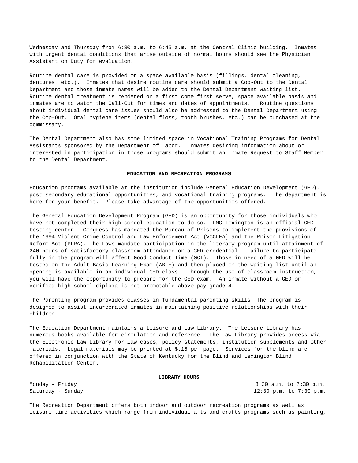Wednesday and Thursday from 6:30 a.m. to 6:45 a.m. at the Central Clinic building. Inmates with urgent dental conditions that arise outside of normal hours should see the Physician Assistant on Duty for evaluation.

Routine dental care is provided on a space available basis (fillings, dental cleaning, dentures, etc.). Inmates that desire routine care should submit a Cop-Out to the Dental Department and those inmate names will be added to the Dental Department waiting list. Routine dental treatment is rendered on a first come first serve, space available basis and inmates are to watch the Call-Out for times and dates of appointments. Routine questions about individual dental care issues should also be addressed to the Dental Department using the Cop-Out. Oral hygiene items (dental floss, tooth brushes, etc.) can be purchased at the commissary.

The Dental Department also has some limited space in Vocational Training Programs for Dental Assistants sponsored by the Department of Labor. Inmates desiring information about or interested in participation in those programs should submit an Inmate Request to Staff Member to the Dental Department.

## **EDUCATION AND RECREATION PROGRAMS**

Education programs available at the institution include General Education Development (GED), post secondary educational opportunities, and vocational training programs. The department is here for your benefit. Please take advantage of the opportunities offered.

The General Education Development Program (GED) is an opportunity for those individuals who have not completed their high school education to do so. FMC Lexington is an official GED testing center. Congress has mandated the Bureau of Prisons to implement the provisions of the 1994 Violent Crime Control and Law Enforcement Act (VCCLEA) and the Prison Litigation Reform Act (PLRA). The Laws mandate participation in the literacy program until attainment of 240 hours of satisfactory classroom attendance or a GED credential. Failure to participate fully in the program will affect Good Conduct Time (GCT). Those in need of a GED will be tested on the Adult Basic Learning Exam (ABLE) and then placed on the waiting list until an opening is available in an individual GED class. Through the use of classroom instruction, you will have the opportunity to prepare for the GED exam. An inmate without a GED or verified high school diploma is not promotable above pay grade 4.

The Parenting program provides classes in fundamental parenting skills. The program is designed to assist incarcerated inmates in maintaining positive relationships with their children.

The Education Department maintains a Leisure and Law Library. The Leisure Library has numerous books available for circulation and reference. The Law Library provides access via the Electronic Law Library for law cases, policy statements, institution supplements and other materials. Legal materials may be printed at \$.15 per page. Services for the blind are offered in conjunction with the State of Kentucky for the Blind and Lexington Blind Rehabilitation Center.

#### **LIBRARY HOURS**

Monday - Friday 8:30 a.m. to 7:30 p.m. Saturday - Sunday 12:30 p.m. to 7:30 p.m.

The Recreation Department offers both indoor and outdoor recreation programs as well as leisure time activities which range from individual arts and crafts programs such as painting,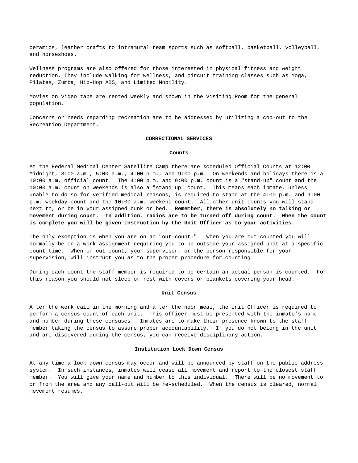ceramics, leather crafts to intramural team sports such as softball, basketball, volleyball, and horseshoes.

Wellness programs are also offered for those interested in physical fitness and weight reduction. They include walking for wellness, and circuit training classes such as Yoga, Pilates, Zumba, Hip-Hop ABS, and Limited Mobility.

Movies on video tape are rented weekly and shown in the Visiting Room for the general population.

Concerns or needs regarding recreation are to be addressed by utilizing a cop-out to the Recreation Department.

#### **CORRECTIONAL SERVICES**

#### **Counts**

At the Federal Medical Center Satellite Camp there are scheduled Official Counts at 12:00 Midnight, 3:00 a.m., 5:00 a.m., 4:00 p.m., and 9:00 p.m. On weekends and holidays there is a 10:00 a.m. official count. The 4:00 p.m. and 9:00 p.m. count is a "stand-up" count and the 10:00 a.m. count on weekends is also a "stand up" count. This means each inmate, unless unable to do so for verified medical reasons, is required to stand at the 4:00 p.m. and 9:00 p.m. weekday count and the 10:00 a.m. weekend count. All other unit counts you will stand next to, or be in your assigned bunk or bed. **Remember, there is absolutely no talking or movement during count. In addition, radios are to be turned off during count. When the count is complete you will be given instruction by the Unit Officer as to your activities.**

The only exception is when you are on an "out-count." When you are out-counted you will normally be on a work assignment requiring you to be outside your assigned unit at a specific count time. When on out-count, your supervisor, or the person responsible for your supervision, will instruct you as to the proper procedure for counting.

During each count the staff member is required to be certain an actual person is counted. For this reason you should not sleep or rest with covers or blankets covering your head.

## **Unit Census**

After the work call in the morning and after the noon meal, the Unit Officer is required to perform a census count of each unit. This officer must be presented with the inmate's name and number during these censuses. Inmates are to make their presence known to the staff member taking the census to assure proper accountability. If you do not belong in the unit and are discovered during the census, you can receive disciplinary action.

## **Institution Lock Down Census**

At any time a lock down census may occur and will be announced by staff on the public address system. In such instances, inmates will cease all movement and report to the closest staff member. You will give your name and number to this individual. There will be no movement to or from the area and any call-out will be re-scheduled. When the census is cleared, normal movement resumes.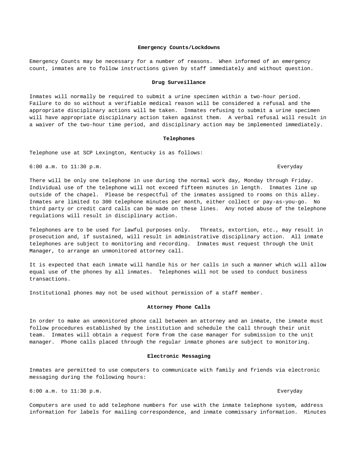## **Emergency Counts/Lockdowns**

Emergency Counts may be necessary for a number of reasons. When informed of an emergency count, inmates are to follow instructions given by staff immediately and without question.

#### **Drug Surveillance**

Inmates will normally be required to submit a urine specimen within a two-hour period. Failure to do so without a verifiable medical reason will be considered a refusal and the appropriate disciplinary actions will be taken. Inmates refusing to submit a urine specimen will have appropriate disciplinary action taken against them. A verbal refusal will result in a waiver of the two-hour time period, and disciplinary action may be implemented immediately.

#### **Telephones**

Telephone use at SCP Lexington, Kentucky is as follows:

6:00 a.m. to 11:30 p.m. Everyday

There will be only one telephone in use during the normal work day, Monday through Friday. Individual use of the telephone will not exceed fifteen minutes in length. Inmates line up outside of the chapel. Please be respectful of the inmates assigned to rooms on this alley. Inmates are limited to 300 telephone minutes per month, either collect or pay-as-you-go. No third party or credit card calls can be made on these lines. Any noted abuse of the telephone regulations will result in disciplinary action.

Telephones are to be used for lawful purposes only. Threats, extortion, etc., may result in prosecution and, if sustained, will result in administrative disciplinary action. All inmate telephones are subject to monitoring and recording. Inmates must request through the Unit Manager, to arrange an unmonitored attorney call.

It is expected that each inmate will handle his or her calls in such a manner which will allow equal use of the phones by all inmates. Telephones will not be used to conduct business transactions.

Institutional phones may not be used without permission of a staff member.

## **Attorney Phone Calls**

In order to make an unmonitored phone call between an attorney and an inmate, the inmate must follow procedures established by the institution and schedule the call through their unit team. Inmates will obtain a request form from the case manager for submission to the unit manager. Phone calls placed through the regular inmate phones are subject to monitoring.

## **Electronic Messaging**

Inmates are permitted to use computers to communicate with family and friends via electronic messaging during the following hours:

6:00 a.m. to 11:30 p.m. Everyday

Computers are used to add telephone numbers for use with the inmate telephone system, address information for labels for mailing correspondence, and inmate commissary information. Minutes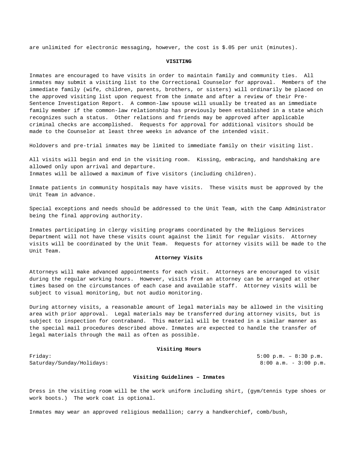are unlimited for electronic messaging, however, the cost is \$.05 per unit (minutes).

## **VISITING**

Inmates are encouraged to have visits in order to maintain family and community ties. All inmates may submit a visiting list to the Correctional Counselor for approval. Members of the immediate family (wife, children, parents, brothers, or sisters) will ordinarily be placed on the approved visiting list upon request from the inmate and after a review of their Pre-Sentence Investigation Report. A common-law spouse will usually be treated as an immediate family member if the common-law relationship has previously been established in a state which recognizes such a status. Other relations and friends may be approved after applicable criminal checks are accomplished. Requests for approval for additional visitors should be made to the Counselor at least three weeks in advance of the intended visit.

Holdovers and pre-trial inmates may be limited to immediate family on their visiting list.

All visits will begin and end in the visiting room. Kissing, embracing, and handshaking are allowed only upon arrival and departure. Inmates will be allowed a maximum of five visitors (including children).

Inmate patients in community hospitals may have visits. These visits must be approved by the Unit Team in advance.

Special exceptions and needs should be addressed to the Unit Team, with the Camp Administrator being the final approving authority.

Inmates participating in clergy visiting programs coordinated by the Religious Services Department will not have these visits count against the limit for regular visits. Attorney visits will be coordinated by the Unit Team. Requests for attorney visits will be made to the Unit Team.

## **Attorney Visits**

Attorneys will make advanced appointments for each visit. Attorneys are encouraged to visit during the regular working hours. However, visits from an attorney can be arranged at other times based on the circumstances of each case and available staff. Attorney visits will be subject to visual monitoring, but not audio monitoring.

During attorney visits, a reasonable amount of legal materials may be allowed in the visiting area with prior approval. Legal materials may be transferred during attorney visits, but is subject to inspection for contraband. This material will be treated in a similar manner as the special mail procedures described above. Inmates are expected to handle the transfer of legal materials through the mail as often as possible.

## **Visiting Hours**

Friday: 5:00 p.m. – 8:30 p.m. Saturday/Sunday/Holidays: 8:00 a.m. - 3:00 p.m.

# **Visiting Guidelines – Inmates**

Dress in the visiting room will be the work uniform including shirt, (gym/tennis type shoes or work boots.) The work coat is optional.

Inmates may wear an approved religious medallion; carry a handkerchief, comb/bush,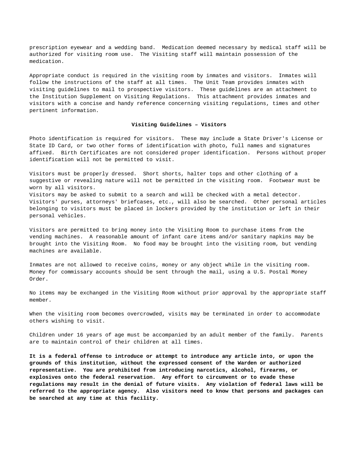prescription eyewear and a wedding band. Medication deemed necessary by medical staff will be authorized for visiting room use. The Visiting staff will maintain possession of the medication.

Appropriate conduct is required in the visiting room by inmates and visitors. Inmates will follow the instructions of the staff at all times. The Unit Team provides inmates with visiting guidelines to mail to prospective visitors. These guidelines are an attachment to the Institution Supplement on Visiting Regulations. This attachment provides inmates and visitors with a concise and handy reference concerning visiting regulations, times and other pertinent information.

## **Visiting Guidelines – Visitors**

Photo identification is required for visitors. These may include a State Driver's License or State ID Card, or two other forms of identification with photo, full names and signatures affixed. Birth Certificates are not considered proper identification. Persons without proper identification will not be permitted to visit.

Visitors must be properly dressed. Short shorts, halter tops and other clothing of a suggestive or revealing nature will not be permitted in the visiting room. Footwear must be worn by all visitors.

Visitors may be asked to submit to a search and will be checked with a metal detector. Visitors' purses, attorneys' briefcases, etc., will also be searched. Other personal articles belonging to visitors must be placed in lockers provided by the institution or left in their personal vehicles.

Visitors are permitted to bring money into the Visiting Room to purchase items from the vending machines. A reasonable amount of infant care items and/or sanitary napkins may be brought into the Visiting Room. No food may be brought into the visiting room, but vending machines are available.

Inmates are not allowed to receive coins, money or any object while in the visiting room. Money for commissary accounts should be sent through the mail, using a U.S. Postal Money Order.

No items may be exchanged in the Visiting Room without prior approval by the appropriate staff member.

When the visiting room becomes overcrowded, visits may be terminated in order to accommodate others wishing to visit.

Children under 16 years of age must be accompanied by an adult member of the family. Parents are to maintain control of their children at all times.

**It is a federal offense to introduce or attempt to introduce any article into, or upon the grounds of this institution, without the expressed consent of the Warden or authorized representative. You are prohibited from introducing narcotics, alcohol, firearms, or explosives onto the federal reservation. Any effort to circumvent or to evade these regulations may result in the denial of future visits. Any violation of federal laws will be referred to the appropriate agency. Also visitors need to know that persons and packages can be searched at any time at this facility.**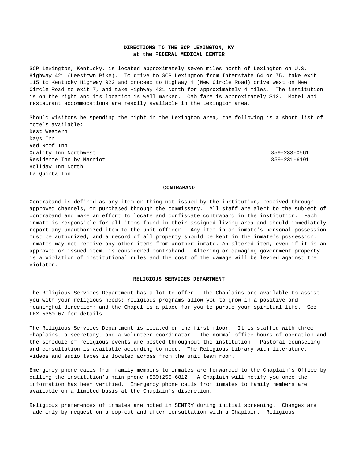# **DIRECTIONS TO THE SCP LEXINGTON, KY at the FEDERAL MEDICAL CENTER**

SCP Lexington, Kentucky, is located approximately seven miles north of Lexington on U.S. Highway 421 (Leestown Pike). To drive to SCP Lexington from Interstate 64 or 75, take exit 115 to Kentucky Highway 922 and proceed to Highway 4 (New Circle Road) drive west on New Circle Road to exit 7, and take Highway 421 North for approximately 4 miles. The institution is on the right and its location is well marked. Cab fare is approximately \$12. Motel and restaurant accommodations are readily available in the Lexington area.

Should visitors be spending the night in the Lexington area, the following is a short list of motels available: Best Western Days Inn Red Roof Inn Quality Inn Northwest 859-233-0561 Residence Inn by Marriot 859-231-6191 Holiday Inn North La Quinta Inn

#### **CONTRABAND**

Contraband is defined as any item or thing not issued by the institution, received through approved channels, or purchased through the commissary. All staff are alert to the subject of contraband and make an effort to locate and confiscate contraband in the institution. Each inmate is responsible for all items found in their assigned living area and should immediately report any unauthorized item to the unit officer. Any item in an inmate's personal possession must be authorized, and a record of all property should be kept in the inmate's possession. Inmates may not receive any other items from another inmate. An altered item, even if it is an approved or issued item, is considered contraband. Altering or damaging government property is a violation of institutional rules and the cost of the damage will be levied against the violator.

#### **RELIGIOUS SERVICES DEPARTMENT**

The Religious Services Department has a lot to offer. The Chaplains are available to assist you with your religious needs; religious programs allow you to grow in a positive and meaningful direction; and the Chapel is a place for you to pursue your spiritual life. See LEX 5360.07 for details.

The Religious Services Department is located on the first floor. It is staffed with three chaplains, a secretary, and a volunteer coordinator. The normal office hours of operation and the schedule of religious events are posted throughout the institution. Pastoral counseling and consultation is available according to need. The Religious Library with literature, videos and audio tapes is located across from the unit team room.

Emergency phone calls from family members to inmates are forwarded to the Chaplain's Office by calling the institution's main phone (859)255-6812. A Chaplain will notify you once the information has been verified. Emergency phone calls from inmates to family members are available on a limited basis at the Chaplain's discretion.

Religious preferences of inmates are noted in SENTRY during initial screening. Changes are made only by request on a cop-out and after consultation with a Chaplain. Religious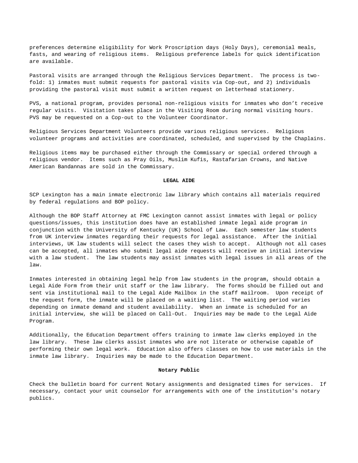preferences determine eligibility for Work Proscription days (Holy Days), ceremonial meals, fasts, and wearing of religious items. Religious preference labels for quick identification are available.

Pastoral visits are arranged through the Religious Services Department. The process is twofold: 1) inmates must submit requests for pastoral visits via Cop-out, and 2) individuals providing the pastoral visit must submit a written request on letterhead stationery.

PVS, a national program, provides personal non-religious visits for inmates who don't receive regular visits. Visitation takes place in the Visiting Room during normal visiting hours. PVS may be requested on a Cop-out to the Volunteer Coordinator.

Religious Services Department Volunteers provide various religious services. Religious volunteer programs and activities are coordinated, scheduled, and supervised by the Chaplains.

Religious items may be purchased either through the Commissary or special ordered through a religious vendor. Items such as Pray Oils, Muslim Kufis, Rastafarian Crowns, and Native American Bandannas are sold in the Commissary.

## **LEGAL AIDE**

SCP Lexington has a main inmate electronic law library which contains all materials required by federal regulations and BOP policy.

Although the BOP Staff Attorney at FMC Lexington cannot assist inmates with legal or policy questions/issues, this institution does have an established inmate legal aide program in conjunction with the University of Kentucky (UK) School of Law. Each semester law students from UK interview inmates regarding their requests for legal assistance. After the initial interviews, UK law students will select the cases they wish to accept. Although not all cases can be accepted, all inmates who submit legal aide requests will receive an initial interview with a law student. The law students may assist inmates with legal issues in all areas of the law.

Inmates interested in obtaining legal help from law students in the program, should obtain a Legal Aide Form from their unit staff or the law library. The forms should be filled out and sent via institutional mail to the Legal Aide Mailbox in the staff mailroom. Upon receipt of the request form, the inmate will be placed on a waiting list. The waiting period varies depending on inmate demand and student availability. When an inmate is scheduled for an initial interview, she will be placed on Call-Out. Inquiries may be made to the Legal Aide Program.

Additionally, the Education Department offers training to inmate law clerks employed in the law library. These law clerks assist inmates who are not literate or otherwise capable of performing their own legal work. Education also offers classes on how to use materials in the inmate law library. Inquiries may be made to the Education Department.

## **Notary Public**

Check the bulletin board for current Notary assignments and designated times for services. If necessary, contact your unit counselor for arrangements with one of the institution's notary publics.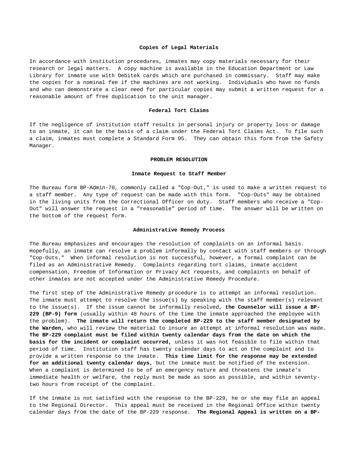#### **Copies of Legal Materials**

In accordance with institution procedures, inmates may copy materials necessary for their research or legal matters. A copy machine is available in the Education Department or Law Library for inmate use with Debitek cards which are purchased in commissary. Staff may make the copies for a nominal fee if the machines are not working. Individuals who have no funds and who can demonstrate a clear need for particular copies may submit a written request for a reasonable amount of free duplication to the unit manager.

#### **Federal Tort Claims**

If the negligence of institution staff results in personal injury or property loss or damage to an inmate, it can be the basis of a claim under the Federal Tort Claims Act. To file such a claim, inmates must complete a Standard Form 95. They can obtain this form from the Safety Manager.

#### **PROBLEM RESOLUTION**

#### **Inmate Request to Staff Member**

The Bureau form BP-Admin-70, commonly called a "Cop-Out," is used to make a written request to a staff member. Any type of request can be made with this form. "Cop-Outs" may be obtained in the living units from the Correctional Officer on duty. Staff members who receive a "Cop-Out" will answer the request in a "reasonable" period of time. The answer will be written on the bottom of the request form.

#### **Administrative Remedy Process**

The Bureau emphasizes and encourages the resolution of complaints on an informal basis. Hopefully, an inmate can resolve a problem informally by contact with staff members or through "Cop-Outs." When informal resolution is not successful, however, a formal complaint can be filed as an Administrative Remedy. Complaints regarding tort claims, inmate accident compensation, Freedom of Information or Privacy Act requests, and complaints on behalf of other inmates are not accepted under the Administrative Remedy Procedure.

The first step of the Administrative Remedy procedure is to attempt an informal resolution. The inmate must attempt to resolve the issue(s) by speaking with the staff member(s) relevant to the issue(s). If the issue cannot be informally resolved, **the Counselor will issue a BP-229 (BP-9) form** (usually within 48 hours of the time the inmate approached the employee with the problem). **The inmate will return the completed BP-229 to the staff member designated by the Warden,** who will review the material to insure an attempt at informal resolution was made. **The BP-229 complaint must be filed within twenty calendar days from the date on which the basis for the incident or complaint occurred,** unless it was not feasible to file within that period of time. Institution staff has twenty calendar days to act on the complaint and to provide a written response to the inmate. **This time limit for the response may be extended for an additional twenty calendar days,** but the inmate must be notified of the extension. When a complaint is determined to be of an emergency nature and threatens the inmate's immediate health or welfare, the reply must be made as soon as possible, and within seventytwo hours from receipt of the complaint.

If the inmate is not satisfied with the response to the BP-229, he or she may file an appeal to the Regional Director. This appeal must be received in the Regional Office within twenty calendar days from the date of the BP-229 response. **The Regional Appeal is written on a BP-**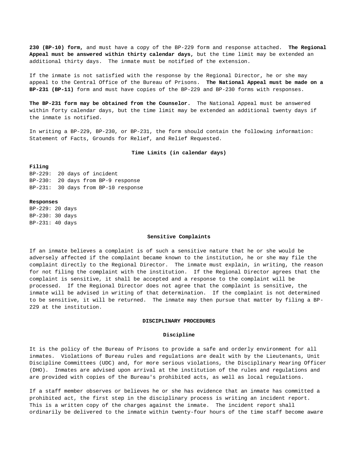**230 (BP-10) form,** and must have a copy of the BP-229 form and response attached. **The Regional Appeal must be answered within thirty calendar days,** but the time limit may be extended an additional thirty days. The inmate must be notified of the extension.

If the inmate is not satisfied with the response by the Regional Director, he or she may appeal to the Central Office of the Bureau of Prisons. **The National Appeal must be made on a BP-231 (BP-11)** form and must have copies of the BP-229 and BP-230 forms with responses.

**The BP-231 form may be obtained from the Counselor.** The National Appeal must be answered within forty calendar days, but the time limit may be extended an additional twenty days if the inmate is notified.

In writing a BP-229, BP-230, or BP-231, the form should contain the following information: Statement of Facts, Grounds for Relief, and Relief Requested.

## **Time Limits (in calendar days)**

## **Filing**

BP-229: 20 days of incident BP-230: 20 days from BP-9 response BP-231: 30 days from BP-10 response

## **Responses**

BP-229: 20 days BP-230: 30 days BP-231: 40 days

#### **Sensitive Complaints**

If an inmate believes a complaint is of such a sensitive nature that he or she would be adversely affected if the complaint became known to the institution, he or she may file the complaint directly to the Regional Director. The inmate must explain, in writing, the reason for not filing the complaint with the institution. If the Regional Director agrees that the complaint is sensitive, it shall be accepted and a response to the complaint will be processed. If the Regional Director does not agree that the complaint is sensitive, the inmate will be advised in writing of that determination. If the complaint is not determined to be sensitive, it will be returned. The inmate may then pursue that matter by filing a BP-229 at the institution.

## **DISCIPLINARY PROCEDURES**

## **Discipline**

It is the policy of the Bureau of Prisons to provide a safe and orderly environment for all inmates. Violations of Bureau rules and regulations are dealt with by the Lieutenants, Unit Discipline Committees (UDC) and, for more serious violations, the Disciplinary Hearing Officer (DHO). Inmates are advised upon arrival at the institution of the rules and regulations and are provided with copies of the Bureau's prohibited acts, as well as local regulations.

If a staff member observes or believes he or she has evidence that an inmate has committed a prohibited act, the first step in the disciplinary process is writing an incident report. This is a written copy of the charges against the inmate. The incident report shall ordinarily be delivered to the inmate within twenty-four hours of the time staff become aware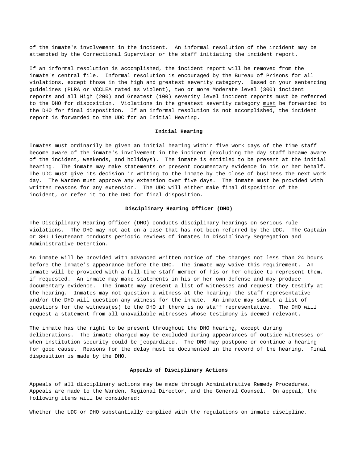of the inmate's involvement in the incident. An informal resolution of the incident may be attempted by the Correctional Supervisor or the staff initiating the incident report.

If an informal resolution is accomplished, the incident report will be removed from the inmate's central file. Informal resolution is encouraged by the Bureau of Prisons for all violations, except those in the high and greatest severity category. Based on your sentencing guidelines (PLRA or VCCLEA rated as violent), two or more Moderate level (300) incident reports and all High (200) and Greatest (100) severity level incident reports must be referred to the DHO for disposition. Violations in the greatest severity category must be forwarded to the DHO for final disposition. If an informal resolution is not accomplished, the incident report is forwarded to the UDC for an Initial Hearing.

## **Initial Hearing**

Inmates must ordinarily be given an initial hearing within five work days of the time staff become aware of the inmate's involvement in the incident (excluding the day staff became aware of the incident, weekends, and holidays). The inmate is entitled to be present at the initial hearing. The inmate may make statements or present documentary evidence in his or her behalf. The UDC must give its decision in writing to the inmate by the close of business the next work day. The Warden must approve any extension over five days. The inmate must be provided with written reasons for any extension. The UDC will either make final disposition of the incident, or refer it to the DHO for final disposition.

# **Disciplinary Hearing Officer (DHO)**

The Disciplinary Hearing Officer (DHO) conducts disciplinary hearings on serious rule violations. The DHO may not act on a case that has not been referred by the UDC. The Captain or SHU Lieutenant conducts periodic reviews of inmates in Disciplinary Segregation and Administrative Detention.

An inmate will be provided with advanced written notice of the charges not less than 24 hours before the inmate's appearance before the DHO. The inmate may waive this requirement. An inmate will be provided with a full-time staff member of his or her choice to represent them, if requested. An inmate may make statements in his or her own defense and may produce documentary evidence. The inmate may present a list of witnesses and request they testify at the hearing. Inmates may not question a witness at the hearing; the staff representative and/or the DHO will question any witness for the inmate. An inmate may submit a list of questions for the witness(es) to the DHO if there is no staff representative. The DHO will request a statement from all unavailable witnesses whose testimony is deemed relevant.

The inmate has the right to be present throughout the DHO hearing, except during deliberations. The inmate charged may be excluded during appearances of outside witnesses or when institution security could be jeopardized. The DHO may postpone or continue a hearing for good cause. Reasons for the delay must be documented in the record of the hearing. Final disposition is made by the DHO.

## **Appeals of Disciplinary Actions**

Appeals of all disciplinary actions may be made through Administrative Remedy Procedures. Appeals are made to the Warden, Regional Director, and the General Counsel**.** On appeal, the following items will be considered:

Whether the UDC or DHO substantially complied with the regulations on inmate discipline.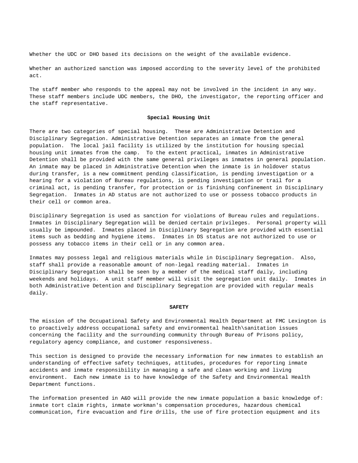Whether the UDC or DHO based its decisions on the weight of the available evidence.

Whether an authorized sanction was imposed according to the severity level of the prohibited act.

The staff member who responds to the appeal may not be involved in the incident in any way. These staff members include UDC members, the DHO, the investigator, the reporting officer and the staff representative.

## **Special Housing Unit**

There are two categories of special housing. These are Administrative Detention and Disciplinary Segregation. Administrative Detention separates an inmate from the general population. The local jail facility is utilized by the institution for housing special housing unit inmates from the camp. To the extent practical, inmates in Administrative Detention shall be provided with the same general privileges as inmates in general population. An inmate may be placed in Administrative Detention when the inmate is in holdover status during transfer, is a new commitment pending classification, is pending investigation or a hearing for a violation of Bureau regulations, is pending investigation or trail for a criminal act, is pending transfer, for protection or is finishing confinement in Disciplinary Segregation. Inmates in AD status are not authorized to use or possess tobacco products in their cell or common area.

Disciplinary Segregation is used as sanction for violations of Bureau rules and regulations. Inmates in Disciplinary Segregation will be denied certain privileges. Personal property will usually be impounded. Inmates placed in Disciplinary Segregation are provided with essential items such as bedding and hygiene items. Inmates in DS status are not authorized to use or possess any tobacco items in their cell or in any common area.

Inmates may possess legal and religious materials while in Disciplinary Segregation. Also, staff shall provide a reasonable amount of non-legal reading material. Inmates in Disciplinary Segregation shall be seen by a member of the medical staff daily, including weekends and holidays. A unit staff member will visit the segregation unit daily. Inmates in both Administrative Detention and Disciplinary Segregation are provided with regular meals daily.

#### **SAFETY**

The mission of the Occupational Safety and Environmental Health Department at FMC Lexington is to proactively address occupational safety and environmental health\sanitation issues concerning the facility and the surrounding community through Bureau of Prisons policy, regulatory agency compliance, and customer responsiveness.

This section is designed to provide the necessary information for new inmates to establish an understanding of effective safety techniques, attitudes, procedures for reporting inmate accidents and inmate responsibility in managing a safe and clean working and living environment. Each new inmate is to have knowledge of the Safety and Environmental Health Department functions.

The information presented in A&O will provide the new inmate population a basic knowledge of: inmate tort claim rights, inmate workman's compensation procedures, hazardous chemical communication, fire evacuation and fire drills, the use of fire protection equipment and its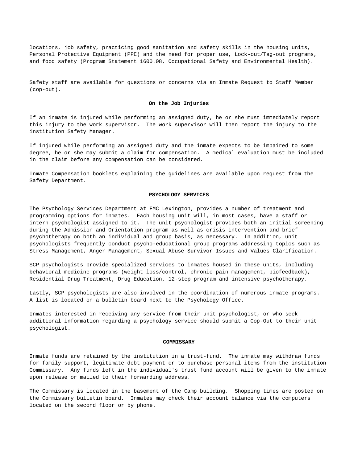locations, job safety, practicing good sanitation and safety skills in the housing units, Personal Protective Equipment (PPE) and the need for proper use, Lock-out/Tag-out programs, and food safety (Program Statement 1600.08, Occupational Safety and Environmental Health).

Safety staff are available for questions or concerns via an Inmate Request to Staff Member (cop-out).

## **On the Job Injuries**

If an inmate is injured while performing an assigned duty, he or she must immediately report this injury to the work supervisor. The work supervisor will then report the injury to the institution Safety Manager.

If injured while performing an assigned duty and the inmate expects to be impaired to some degree, he or she may submit a claim for compensation. A medical evaluation must be included in the claim before any compensation can be considered.

Inmate Compensation booklets explaining the guidelines are available upon request from the Safety Department.

### **PSYCHOLOGY SERVICES**

The Psychology Services Department at FMC Lexington, provides a number of treatment and programming options for inmates. Each housing unit will, in most cases, have a staff or intern psychologist assigned to it. The unit psychologist provides both an initial screening during the Admission and Orientation program as well as crisis intervention and brief psychotherapy on both an individual and group basis, as necessary. In addition, unit psychologists frequently conduct psycho-educational group programs addressing topics such as Stress Management, Anger Management, Sexual Abuse Survivor Issues and Values Clarification.

SCP psychologists provide specialized services to inmates housed in these units, including behavioral medicine programs (weight loss/control, chronic pain management, biofeedback), Residential Drug Treatment, Drug Education, 12-step program and intensive psychotherapy.

Lastly, SCP psychologists are also involved in the coordination of numerous inmate programs. A list is located on a bulletin board next to the Psychology Office.

Inmates interested in receiving any service from their unit psychologist, or who seek additional information regarding a psychology service should submit a Cop-Out to their unit psychologist.

#### **COMMISSARY**

Inmate funds are retained by the institution in a trust-fund. The inmate may withdraw funds for family support, legitimate debt payment or to purchase personal items from the institution Commissary. Any funds left in the individual's trust fund account will be given to the inmate upon release or mailed to their forwarding address.

The Commissary is located in the basement of the Camp building. Shopping times are posted on the Commissary bulletin board. Inmates may check their account balance via the computers located on the second floor or by phone.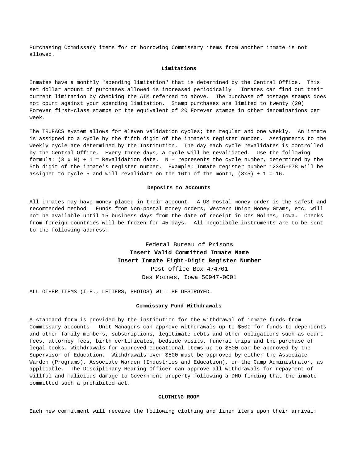Purchasing Commissary items for or borrowing Commissary items from another inmate is not allowed.

## **Limitations**

Inmates have a monthly "spending limitation" that is determined by the Central Office. This set dollar amount of purchases allowed is increased periodically. Inmates can find out their current limitation by checking the AIM referred to above. The purchase of postage stamps does not count against your spending limitation. Stamp purchases are limited to twenty (20) Forever first-class stamps or the equivalent of 20 Forever stamps in other denominations per week.

The TRUFACS system allows for eleven validation cycles; ten regular and one weekly. An inmate is assigned to a cycle by the fifth digit of the inmate's register number. Assignments to the weekly cycle are determined by the Institution. The day each cycle revalidates is controlled by the Central Office. Every three days, a cycle will be revalidated. Use the following formula:  $(3 \times N) + 1$  = Revalidation date. N - represents the cycle number, determined by the 5th digit of the inmate's register number. Example: Inmate register number 12345-678 will be assigned to cycle 5 and will revalidate on the 16th of the month,  $(3x5) + 1 = 16$ .

#### **Deposits to Accounts**

All inmates may have money placed in their account. A US Postal money order is the safest and recommended method. Funds from Non-postal money orders, Western Union Money Grams, etc. will not be available until 15 business days from the date of receipt in Des Moines, Iowa. Checks from foreign countries will be frozen for 45 days. All negotiable instruments are to be sent to the following address:

> Federal Bureau of Prisons **Insert Valid Committed Inmate Name Insert Inmate Eight-Digit Register Number** Post Office Box 474701

> > Des Moines, Iowa 50947-0001

ALL OTHER ITEMS (I.E., LETTERS, PHOTOS) WILL BE DESTROYED.

## **Commissary Fund Withdrawals**

A standard form is provided by the institution for the withdrawal of inmate funds from Commissary accounts. Unit Managers can approve withdrawals up to \$500 for funds to dependents and other family members, subscriptions, legitimate debts and other obligations such as court fees, attorney fees, birth certificates, bedside visits, funeral trips and the purchase of legal books. Withdrawals for approved educational items up to \$500 can be approved by the Supervisor of Education. Withdrawals over \$500 must be approved by either the Associate Warden (Programs), Associate Warden (Industries and Education), or the Camp Administrator, as applicable. The Disciplinary Hearing Officer can approve all withdrawals for repayment of willful and malicious damage to Government property following a DHO finding that the inmate committed such a prohibited act.

### **CLOTHING ROOM**

Each new commitment will receive the following clothing and linen items upon their arrival: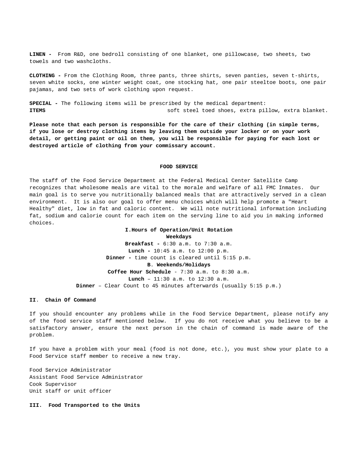**LINEN -** From R&D, one bedroll consisting of one blanket, one pillowcase, two sheets, two towels and two washcloths.

**CLOTHING -** From the Clothing Room, three pants, three shirts, seven panties, seven t-shirts, seven white socks, one winter weight coat, one stocking hat, one pair steeltoe boots, one pair pajamas, and two sets of work clothing upon request.

**SPECIAL -** The following items will be prescribed by the medical department: **ITEMS** soft steel toed shoes, extra pillow, extra blanket.

**Please note that each person is responsible for the care of their clothing (in simple terms, if you lose or destroy clothing items by leaving them outside your locker or on your work detail, or getting paint or oil on them, you will be responsible for paying for each lost or destroyed article of clothing from your commissary account.**

#### **FOOD SERVICE**

The staff of the Food Service Department at the Federal Medical Center Satellite Camp recognizes that wholesome meals are vital to the morale and welfare of all FMC Inmates. Our main goal is to serve you nutritionally balanced meals that are attractively served in a clean environment. It is also our goal to offer menu choices which will help promote a "Heart Healthy" diet, low in fat and caloric content. We will note nutritional information including fat, sodium and calorie count for each item on the serving line to aid you in making informed choices.

# **I.Hours of Operation/Unit Rotation Weekdays Breakfast -** 6:30 a.m. to 7:30 a.m. **Lunch -** 10:45 a.m. to 12:00 p.m. **Dinner -** time count is cleared until 5:15 p.m. **B**. **Weekends/Holidays Coffee Hour Schedule** - 7:30 a.m. to 8:30 a.m. **Lunch** – 11:30 a.m. to 12:30 a.m. **Dinner** – Clear Count to 45 minutes afterwards (usually 5:15 p.m.)

## **II**. **Chain Of Command**

If you should encounter any problems while in the Food Service Department, please notify any of the food service staff mentioned below. If you do not receive what you believe to be a satisfactory answer, ensure the next person in the chain of command is made aware of the problem.

If you have a problem with your meal (food is not done, etc.), you must show your plate to a Food Service staff member to receive a new tray.

Food Service Administrator Assistant Food Service Administrator Cook Supervisor Unit staff or unit officer

#### **III. Food Transported to the Units**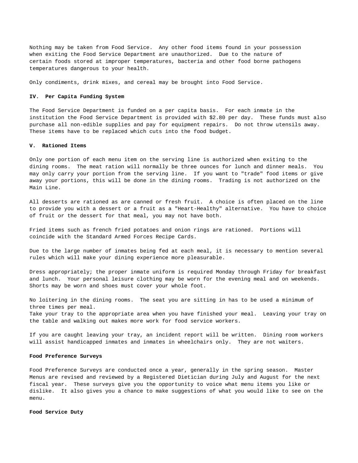Nothing may be taken from Food Service. Any other food items found in your possession when exiting the Food Service Department are unauthorized. Due to the nature of certain foods stored at improper temperatures, bacteria and other food borne pathogens temperatures dangerous to your health.

Only condiments, drink mixes, and cereal may be brought into Food Service.

## **IV. Per Capita Funding System**

The Food Service Department is funded on a per capita basis. For each inmate in the institution the Food Service Department is provided with \$2.80 per day. These funds must also purchase all non-edible supplies and pay for equipment repairs. Do not throw utensils away. These items have to be replaced which cuts into the food budget.

## **V. Rationed Items**

Only one portion of each menu item on the serving line is authorized when exiting to the dining rooms. The meat ration will normally be three ounces for lunch and dinner meals. You may only carry your portion from the serving line. If you want to "trade" food items or give away your portions, this will be done in the dining rooms. Trading is not authorized on the Main Line.

All desserts are rationed as are canned or fresh fruit. A choice is often placed on the line to provide you with a dessert or a fruit as a "Heart-Healthy" alternative. You have to choice of fruit or the dessert for that meal, you may not have both.

Fried items such as french fried potatoes and onion rings are rationed. Portions will coincide with the Standard Armed Forces Recipe Cards.

Due to the large number of inmates being fed at each meal, it is necessary to mention several rules which will make your dining experience more pleasurable.

Dress appropriately; the proper inmate uniform is required Monday through Friday for breakfast and lunch. Your personal leisure clothing may be worn for the evening meal and on weekends. Shorts may be worn and shoes must cover your whole foot.

No loitering in the dining rooms. The seat you are sitting in has to be used a minimum of three times per meal. Take your tray to the appropriate area when you have finished your meal. Leaving your tray on the table and walking out makes more work for food service workers.

If you are caught leaving your tray, an incident report will be written. Dining room workers will assist handicapped inmates and inmates in wheelchairs only. They are not waiters.

## **Food Preference Surveys**

Food Preference Surveys are conducted once a year, generally in the spring season. Master Menus are revised and reviewed by a Registered Dietician during July and August for the next fiscal year. These surveys give you the opportunity to voice what menu items you like or dislike. It also gives you a chance to make suggestions of what you would like to see on the menu.

## **Food Service Duty**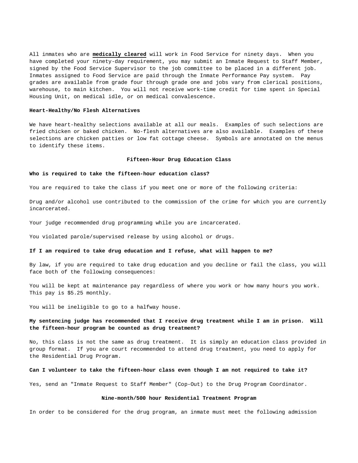All inmates who are **medically cleared** will work in Food Service for ninety days. When you have completed your ninety-day requirement, you may submit an Inmate Request to Staff Member, signed by the Food Service Supervisor to the job committee to be placed in a different job. Inmates assigned to Food Service are paid through the Inmate Performance Pay system. Pay grades are available from grade four through grade one and jobs vary from clerical positions, warehouse, to main kitchen. You will not receive work-time credit for time spent in Special Housing Unit, on medical idle, or on medical convalescence.

#### **Heart-Healthy/No Flesh Alternatives**

We have heart-healthy selections available at all our meals. Examples of such selections are fried chicken or baked chicken. No-flesh alternatives are also available. Examples of these selections are chicken patties or low fat cottage cheese. Symbols are annotated on the menus to identify these items.

## **Fifteen-Hour Drug Education Class**

## **Who is required to take the fifteen-hour education class?**

You are required to take the class if you meet one or more of the following criteria:

Drug and/or alcohol use contributed to the commission of the crime for which you are currently incarcerated.

Your judge recommended drug programming while you are incarcerated.

You violated parole/supervised release by using alcohol or drugs.

## **If I am required to take drug education and I refuse, what will happen to me?**

By law, if you are required to take drug education and you decline or fail the class, you will face both of the following consequences:

You will be kept at maintenance pay regardless of where you work or how many hours you work. This pay is \$5.25 monthly.

You will be ineligible to go to a halfway house.

# **My sentencing judge has recommended that I receive drug treatment while I am in prison. Will the fifteen-hour program be counted as drug treatment?**

No, this class is not the same as drug treatment. It is simply an education class provided in group format. If you are court recommended to attend drug treatment, you need to apply for the Residential Drug Program.

## **Can I volunteer to take the fifteen-hour class even though I am not required to take it?**

Yes, send an "Inmate Request to Staff Member" (Cop-Out) to the Drug Program Coordinator.

## **Nine-month/500 hour Residential Treatment Program**

In order to be considered for the drug program, an inmate must meet the following admission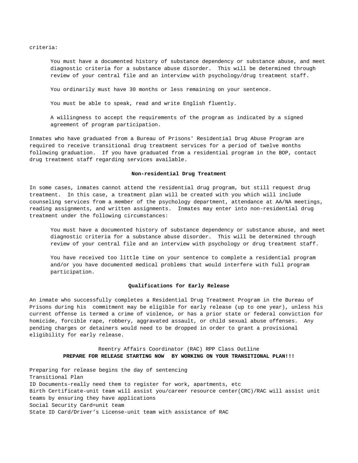criteria:

You must have a documented history of substance dependency or substance abuse, and meet diagnostic criteria for a substance abuse disorder. This will be determined through review of your central file and an interview with psychology/drug treatment staff.

You ordinarily must have 30 months or less remaining on your sentence.

You must be able to speak, read and write English fluently.

A willingness to accept the requirements of the program as indicated by a signed agreement of program participation.

Inmates who have graduated from a Bureau of Prisons' Residential Drug Abuse Program are required to receive transitional drug treatment services for a period of twelve months following graduation. If you have graduated from a residential program in the BOP, contact drug treatment staff regarding services available.

## **Non-residential Drug Treatment**

In some cases, inmates cannot attend the residential drug program, but still request drug treatment. In this case, a treatment plan will be created with you which will include counseling services from a member of the psychology department, attendance at AA/NA meetings, reading assignments, and written assignments. Inmates may enter into non-residential drug treatment under the following circumstances:

You must have a documented history of substance dependency or substance abuse, and meet diagnostic criteria for a substance abuse disorder. This will be determined through review of your central file and an interview with psychology or drug treatment staff.

You have received too little time on your sentence to complete a residential program and/or you have documented medical problems that would interfere with full program participation.

## **Qualifications for Early Release**

An inmate who successfully completes a Residential Drug Treatment Program in the Bureau of Prisons during his commitment may be eligible for early release (up to one year), unless his current offense is termed a crime of violence, or has a prior state or federal conviction for homicide, forcible rape, robbery, aggravated assault, or child sexual abuse offenses. Any pending charges or detainers would need to be dropped in order to grant a provisional eligibility for early release.

# Reentry Affairs Coordinator (RAC) RPP Class Outline **PREPARE FOR RELEASE STARTING NOW BY WORKING ON YOUR TRANSITIONAL PLAN!!!**

Preparing for release begins the day of sentencing Transitional Plan ID Documents-really need them to register for work, apartments, etc Birth Certificate-unit team will assist you/career resource center(CRC)/RAC will assist unit teams by ensuring they have applications Social Security Card=unit team State ID Card/Driver's License-unit team with assistance of RAC